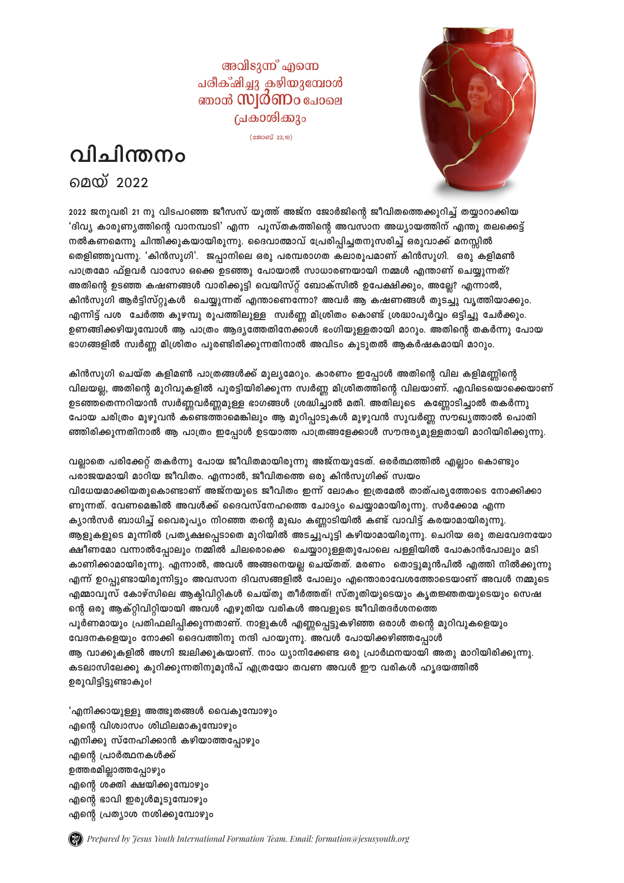അവിടുന്ന് എന്നെ പരീക്ഷിച്ചു കഴിയുമ്പോൾ ഞാൻ **സ്വർണം** പോലെ പ്രകാശിക്കും

 $(\text{second }23,10)$ 





2022 ജനുവരി 21 നു വിടപറഞ്ഞ ജീസസ് യൂത്ത് അജ്ന ജോർജിന്റെ ജീവിതത്തെക്കുറിച്ച് തയ്യാറാക്കിയ 'ദിവ്യ കാരുണ്യത്തിന്റെ വാനമ്പാടി' എന്ന പുസ്തകത്തിന്റെ അവസാന അധ്യായത്തിന് എന്തു തലക്കെട്ട് നൽകണമെന്നു ചിന്തിക്കുകയായിരുന്നു. ദൈവാത്മാവ് പ്രേരിപ്പിച്ചതനുസരിച്ച് ഒരുവാക്ക് മനസ്സിൽ തെളിഞ്ഞുവന്നു. 'കിൻസുഗി'. ജപ്പാനിലെ ഒരു പരമ്പരാഗത കലാരൂപമാണ് കിൻസുഗി. ഒരു കളിമൺ പാത്രമോ ഫ്ളവർ വാസോ ഒക്കെ ഉടഞ്ഞു പോയാൽ സാധാരണയായി നമ്മൾ എന്താണ് ചെയ്യുന്നത്? അതിന്റെ ഉടഞ്ഞ കഷണങ്ങൾ വാരിക്കൂട്ടി വെയിസ്റ്റ് ബോക്സിൽ ഉപേക്ഷിക്കും, അല്ലേ? എന്നാൽ, കിൻസുഗി ആർട്ടിസ്റ്റുകൾ ചെയ്യുന്നത് എന്താണെന്നോ? അവർ ആ കഷണങ്ങൾ തുടച്ചു വൃത്തിയാക്കും. എന്നിട്ട് പശ ചേർത്ത കുഴമ്പു രൂപത്തിലുള്ള സ്വർണ്ണ മിശ്രിതം കൊണ്ട് ശ്രദ്ധാപൂർവ്വം ഒട്ടിച്ചു ചേർക്കും. ഉണങ്ങിക്കഴിയുമ്പോൾ ആ പാത്രം ആദ്യത്തേതിനേക്കാൾ ഭംഗിയുള്ളതായി മാറും. അതിന്റെ തകർന്നു പോയ ഭാഗങ്ങളിൽ സ്വർണ്ണ മിശ്രിതം പുരണ്ടിരിക്കുന്നതിനാൽ അവിടം കുടുതൽ ആകർഷകമായി മാറും.

കിൻസൂഗി ചെയ്ത കളിമൺ പാത്രങ്ങൾക്ക് മൂല്യമേറും. കാരണം ഇപ്പോൾ അതിന്റെ വില കളിമണ്ണിന്റെ വിലയല്ല, അതിന്റെ മുറിവുകളിൽ പുരട്ടിയിരിക്കുന്ന സ്വർണ്ണ മിശ്രിതത്തിന്റെ വിലയാണ്. എവിടെയൊക്കെയാണ് ഉടഞ്ഞതെന്നറിയാൻ സ്വർണ്ണവർണ്ണമുള്ള ഭാഗങ്ങൾ ശ്രദ്ധിച്ചാൽ മതി. അതിലൂടെ കണ്ണോടിച്ചാൽ തകർന്നു പോയ ചരിത്രം മുഴുവൻ കണ്ടെത്താമെങ്കിലും ആ മുറിപ്പാടുകൾ മുഴുവൻ സുവർണ്ണ സൗഖൃത്താൽ പൊതി  $\bm s$ ഞ്ഞിരിക്കുന്നതിനാൽ ആ പാത്രം ഇപ്പോൾ ഉടയാത്ത പാത്രങ്ങളേക്കാൾ സൗന്ദര്യമുള്ളതായി മാറിയിരിക്കുന്നു.

വല്ലാതെ പരിക്കേറ്റ് തകർന്നു പോയ ജീവിതമായിരുന്നു അജ്നയുടേത്. ഒരർത്ഥത്തിൽ എല്ലാം കൊണ്ടും പരാജയമായി മാറിയ ജീവിതം. എന്നാൽ, ജീവിതത്തെ ഒരു കിൻസൂഗിക്ക് സ്വയം വിധേയമാക്കിയതുകൊണ്ടാണ് അജ്നയുടെ ജീവിതം ഇന്ന് ലോകം ഇത്രമേൽ താത്പര്യത്തോടെ നോക്കിക്കാ ണുന്നത്. വേണമെങ്കിൽ അവൾക്ക് ദൈവസ്നേഹത്തെ ചോദ്യം ചെയ്യാമായിരുന്നു. സർക്കോമ എന്ന ക്യാൻസർ ബാധിച്ച് വൈരൂപ്യം നിറഞ്ഞ തന്റെ മുഖം കണ്ണാടിയിൽ കണ്ട് വാവിട്ട് കരയാമായിരുന്നു. ആളുകളുടെ മുന്നിൽ പ്രതൃക്ഷപ്പെടാതെ മുറിയിൽ അടച്ചുപൂട്ടി കഴിയാമായിരുന്നു. ചെറിയ ഒരു തലവേദനയോ ക്ഷീണമോ വന്നാൽപ്പോലും നമ്മിൽ ചിലരൊക്കെ ചെയ്യാറുള്ളതുപോലെ പളളിയിൽ പോകാൻപോലും മടി കാണിക്കാമായിരുന്നു. എന്നാൽ, അവൾ അങ്ങനെയല്ല ചെയ്തത്. മരണം തൊട്ടുമുൻപിൽ എത്തി നിൽക്കുന്നു എന്ന് ഉറപ്പുണ്ടായിരുന്നിട്ടും അവസാന ദിവസങ്ങളിൽ പോലും എന്തൊരാവേശത്തോടെയാണ് അവൾ നമ്മുടെ <u>എമ്മാവൂസ് കോഴ്സിലെ ആകിവിറ്റികൾ ചെയ്തു തീർത്തത്! സ്തുതിയുടെയും കൃതജ്ഞതയുടെയും സെഷ</u> ന്റെ ഒരു ആക്റ്റിവിറ്റിയായി അവൾ എഴുതിയ വരികൾ അവളുടെ ജീവിതദർശനത്തെ പൂർണമായും പ്രതിഫലിപ്പിക്കുന്നതാണ്. നാളുകൾ എണ്ണപ്പെട്ടുകഴിഞ്ഞ ഒരാൾ തന്റെ മുറിവുകളെയും വേദനകളെയും നോക്കി ദൈവത്തിനു നന്ദി പറയുന്നു. അവൾ പോയിക്കഴിഞ്ഞപോൾ ആ വാക്കുകളിൽ അഗ്നി ജ്വലിക്കുകയാണ്. നാം ധ്യാനിക്കേണ്ട ഒരു പ്രാർഥനയായി അതു മാറിയിരിക്കുന്നു. കടലാസിലേക്കു കുറിക്കുന്നതിനുമുൻപ് എത്രയോ തവണ അവൾ ഈ വരികൾ ഹൃദയത്തിൽ **ഉരുവിട്ടിട്ടുണ്ടാകും!** 

'എനിക്കായുളളു അത്ഭുതങ്ങൾ വൈകുമ്പോഴും എന്റെ വിശ്വാസം ശിഥിലമാകൂമ്പോഴും എനിക്കു സ്നേഹിക്കാൻ കഴിയാത്തപ്പോഴും **എന്റെ പ്രാർത്ഥനകൾക്ക്** ഉത്തരമില്ലാത്തപ്പോഴും എന്റെ ശക്തി ക്ഷയിക്കുമ്പോഴും എന്റെ ഭാവി ഇരുൾമുടുമ്പോഴും എന്റെ പ്രത്യാശ നശിക്കുമ്പോഴും

*Prepared by Jesus Youth International Formation Team. Email: formation@jesusyouth.org*